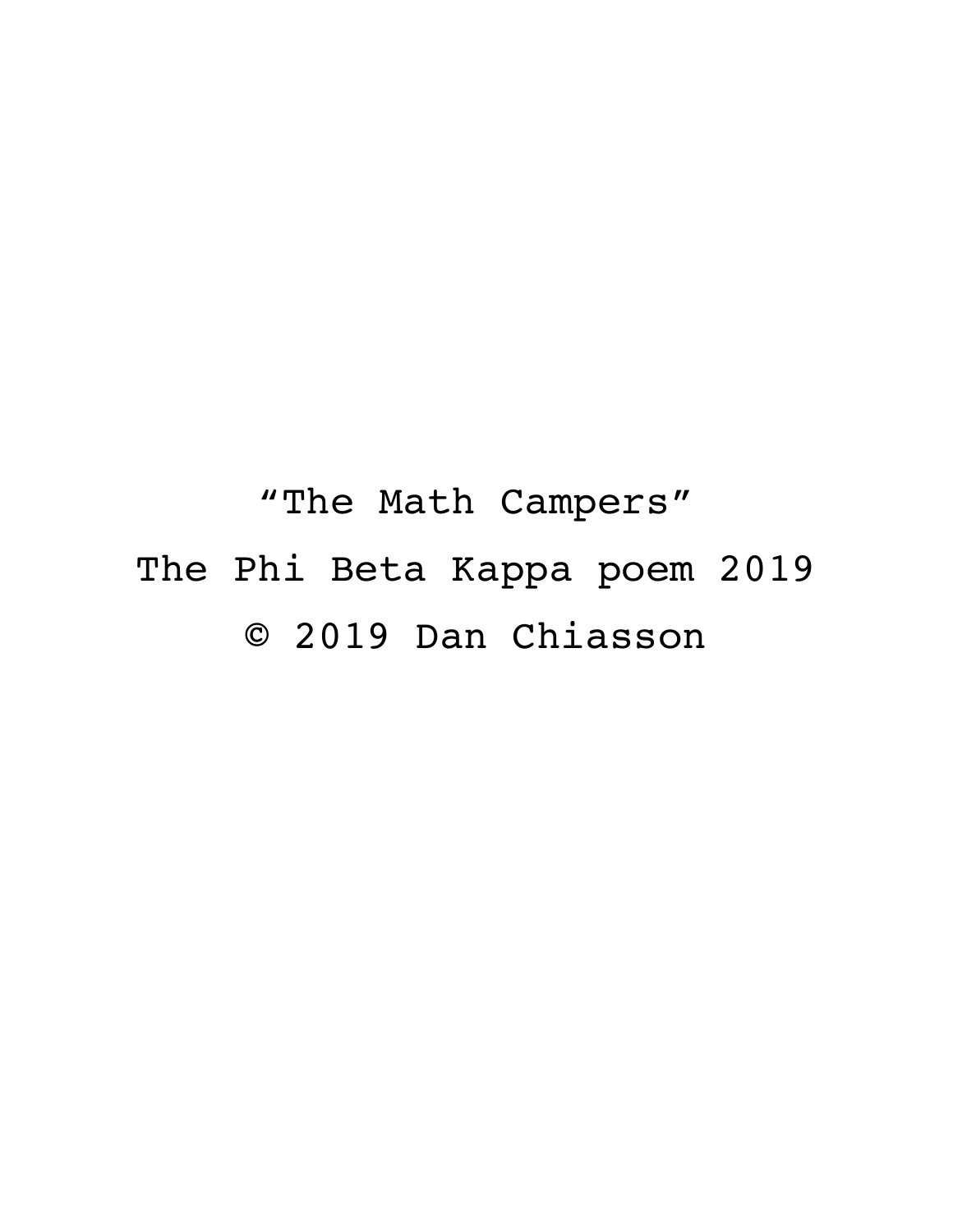"The Math Campers" The Phi Beta Kappa poem 2019 © 2019 Dan Chiasson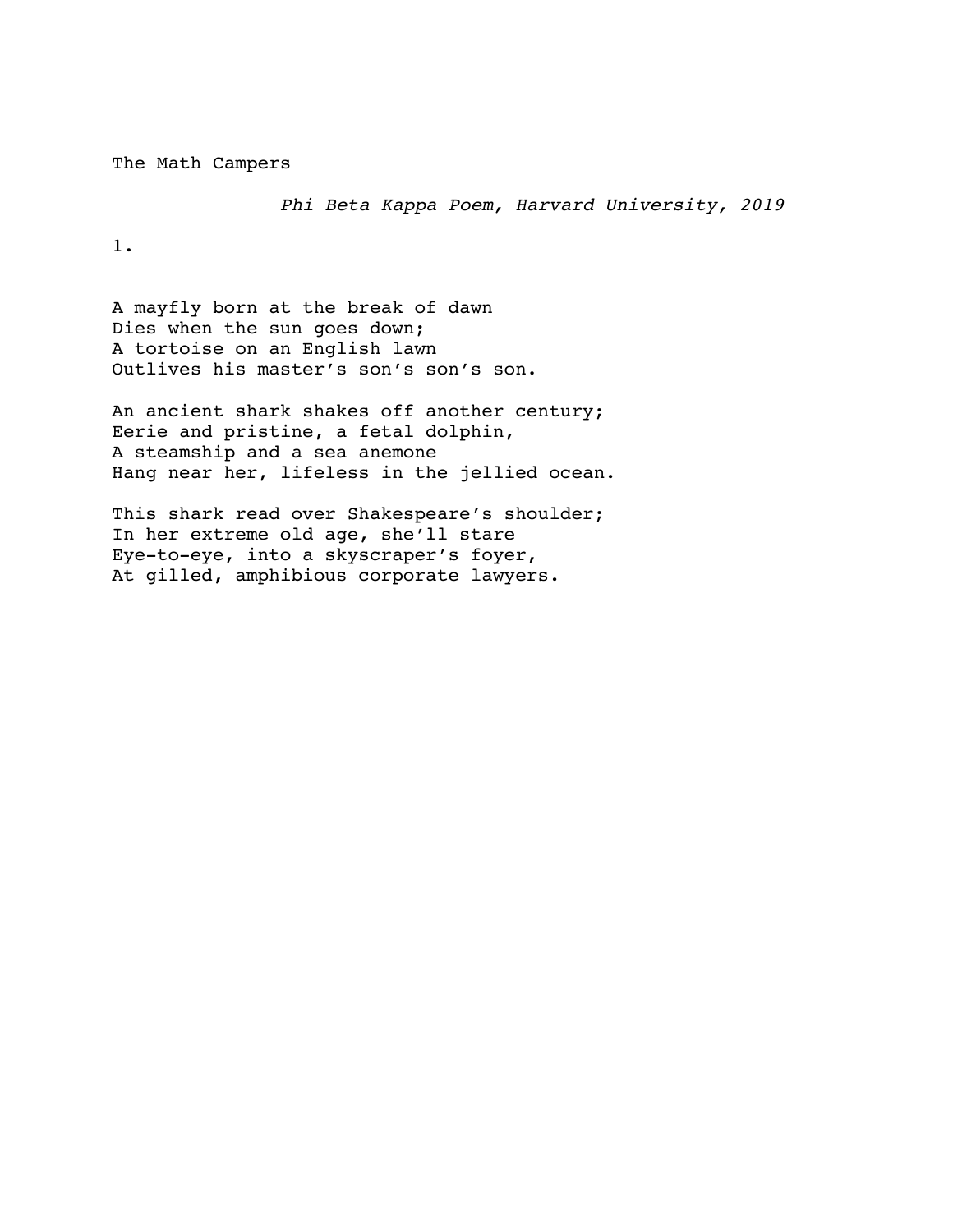The Math Campers

*Phi Beta Kappa Poem, Harvard University, 2019*

1.

A mayfly born at the break of dawn Dies when the sun goes down; A tortoise on an English lawn Outlives his master's son's son's son.

An ancient shark shakes off another century; Eerie and pristine, a fetal dolphin, A steamship and a sea anemone Hang near her, lifeless in the jellied ocean.

This shark read over Shakespeare's shoulder; In her extreme old age, she'll stare Eye-to-eye, into a skyscraper's foyer, At gilled, amphibious corporate lawyers.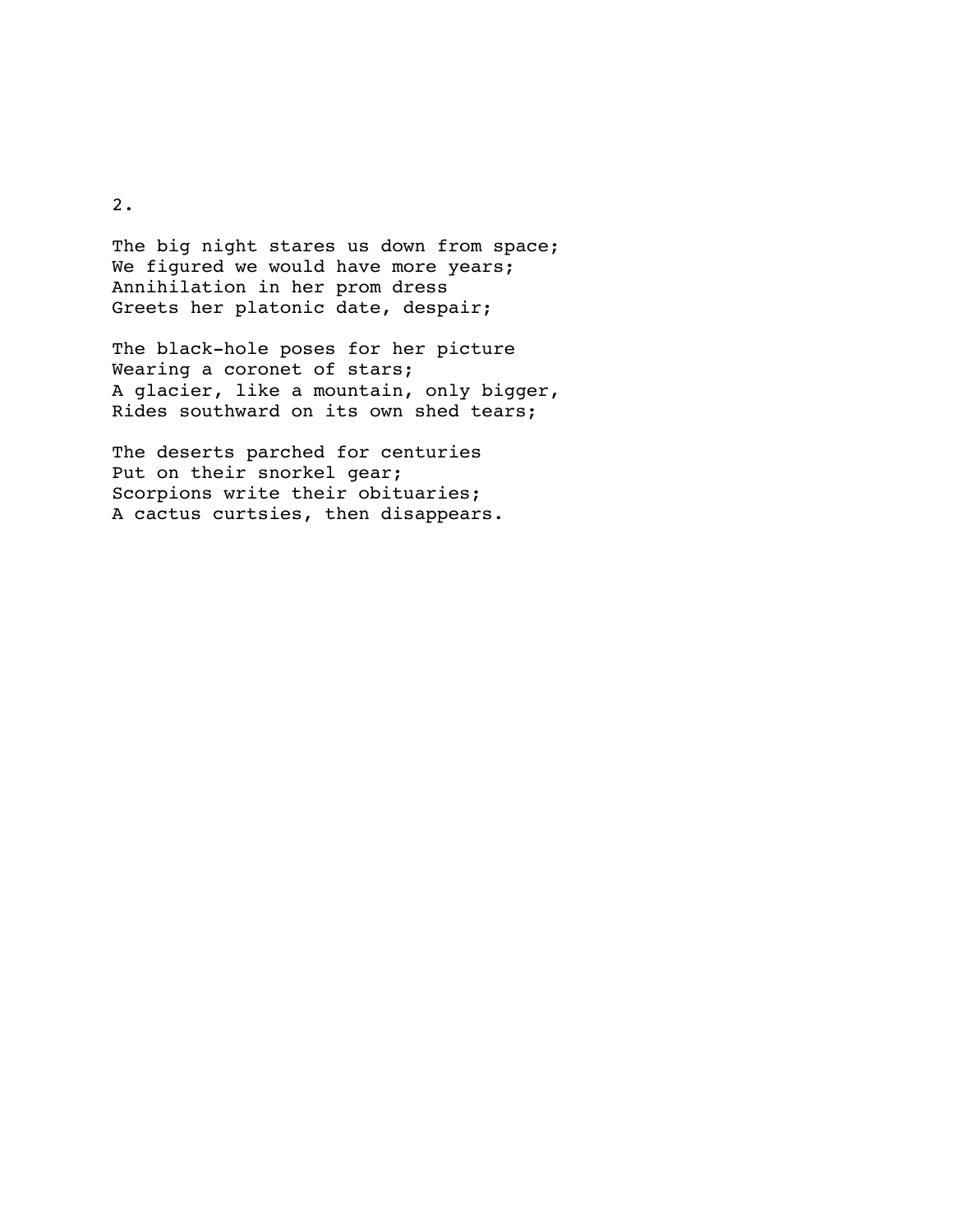2.

The big night stares us down from space; We figured we would have more years; Annihilation in her prom dress Greets her platonic date, despair;

The black-hole poses for her picture Wearing a coronet of stars; A glacier, like a mountain, only bigger, Rides southward on its own shed tears;

The deserts parched for centuries Put on their snorkel gear; Scorpions write their obituaries; A cactus curtsies, then disappears.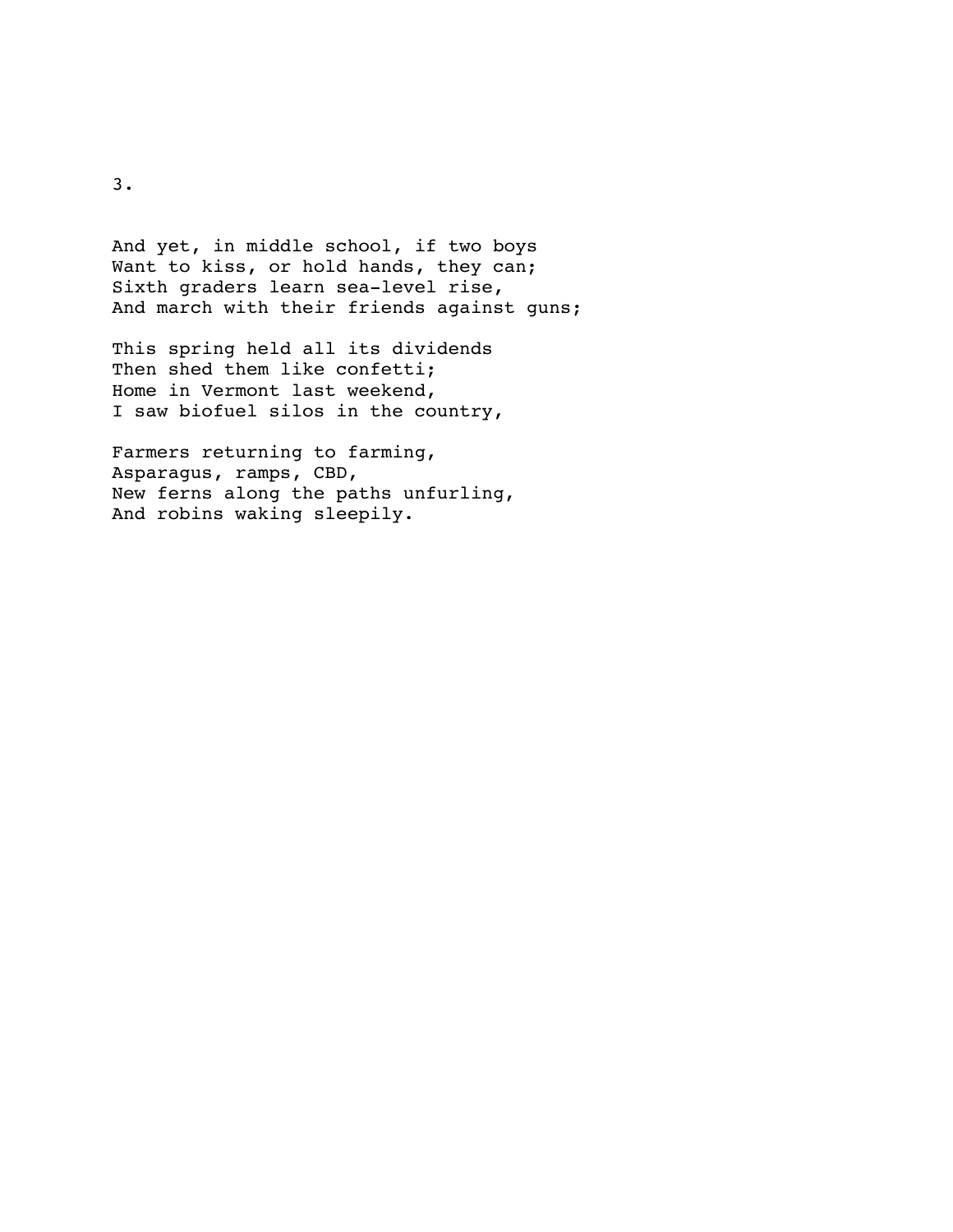And yet, in middle school, if two boys Want to kiss, or hold hands, they can; Sixth graders learn sea-level rise, And march with their friends against guns;

This spring held all its dividends Then shed them like confetti; Home in Vermont last weekend, I saw biofuel silos in the country,

Farmers returning to farming, Asparagus, ramps, CBD, New ferns along the paths unfurling, And robins waking sleepily.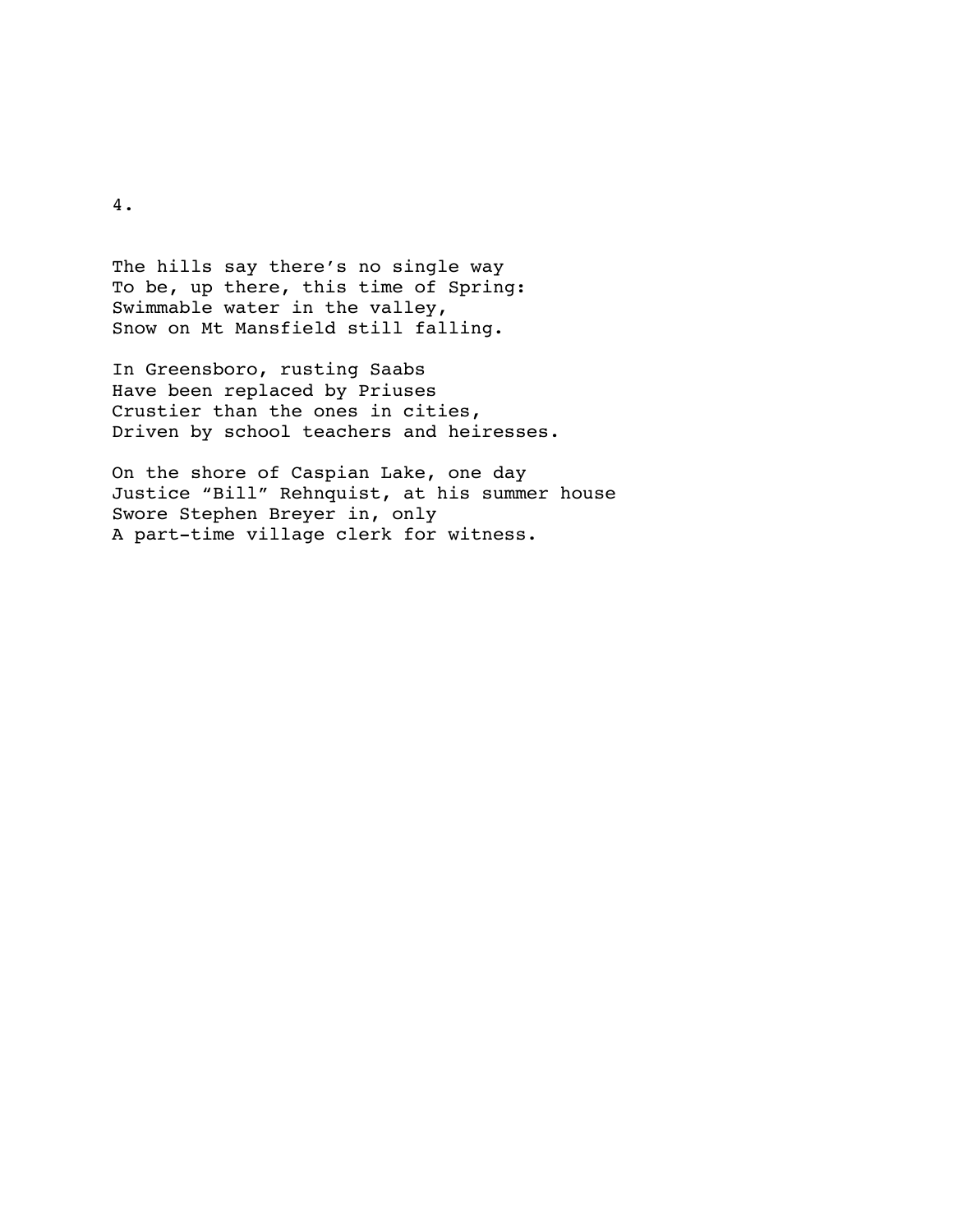The hills say there's no single way To be, up there, this time of Spring: Swimmable water in the valley, Snow on Mt Mansfield still falling.

In Greensboro, rusting Saabs Have been replaced by Priuses Crustier than the ones in cities, Driven by school teachers and heiresses.

On the shore of Caspian Lake, one day Justice "Bill" Rehnquist, at his summer house Swore Stephen Breyer in, only A part-time village clerk for witness.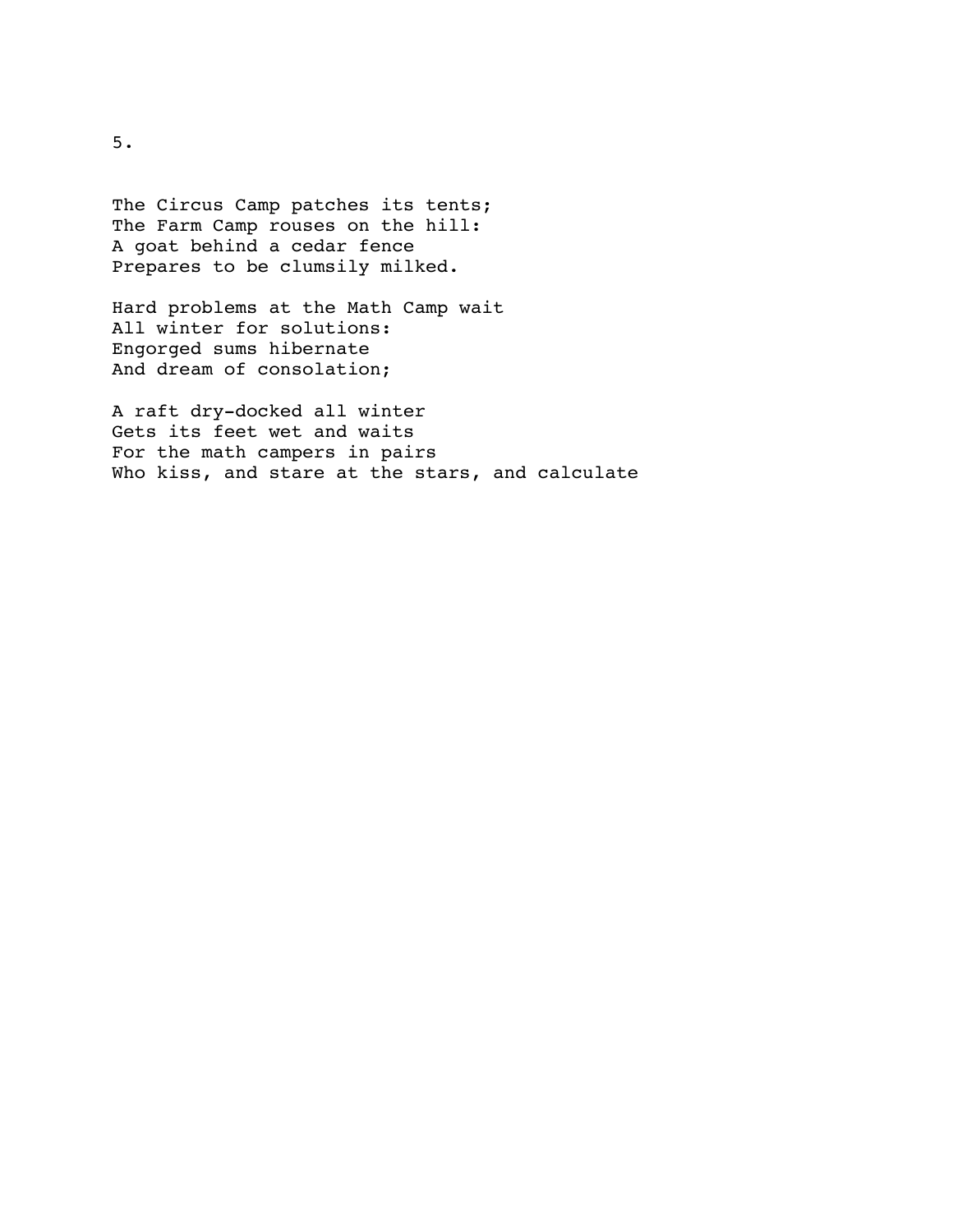The Circus Camp patches its tents; The Farm Camp rouses on the hill: A goat behind a cedar fence Prepares to be clumsily milked.

Hard problems at the Math Camp wait All winter for solutions: Engorged sums hibernate And dream of consolation;

A raft dry-docked all winter Gets its feet wet and waits For the math campers in pairs Who kiss, and stare at the stars, and calculate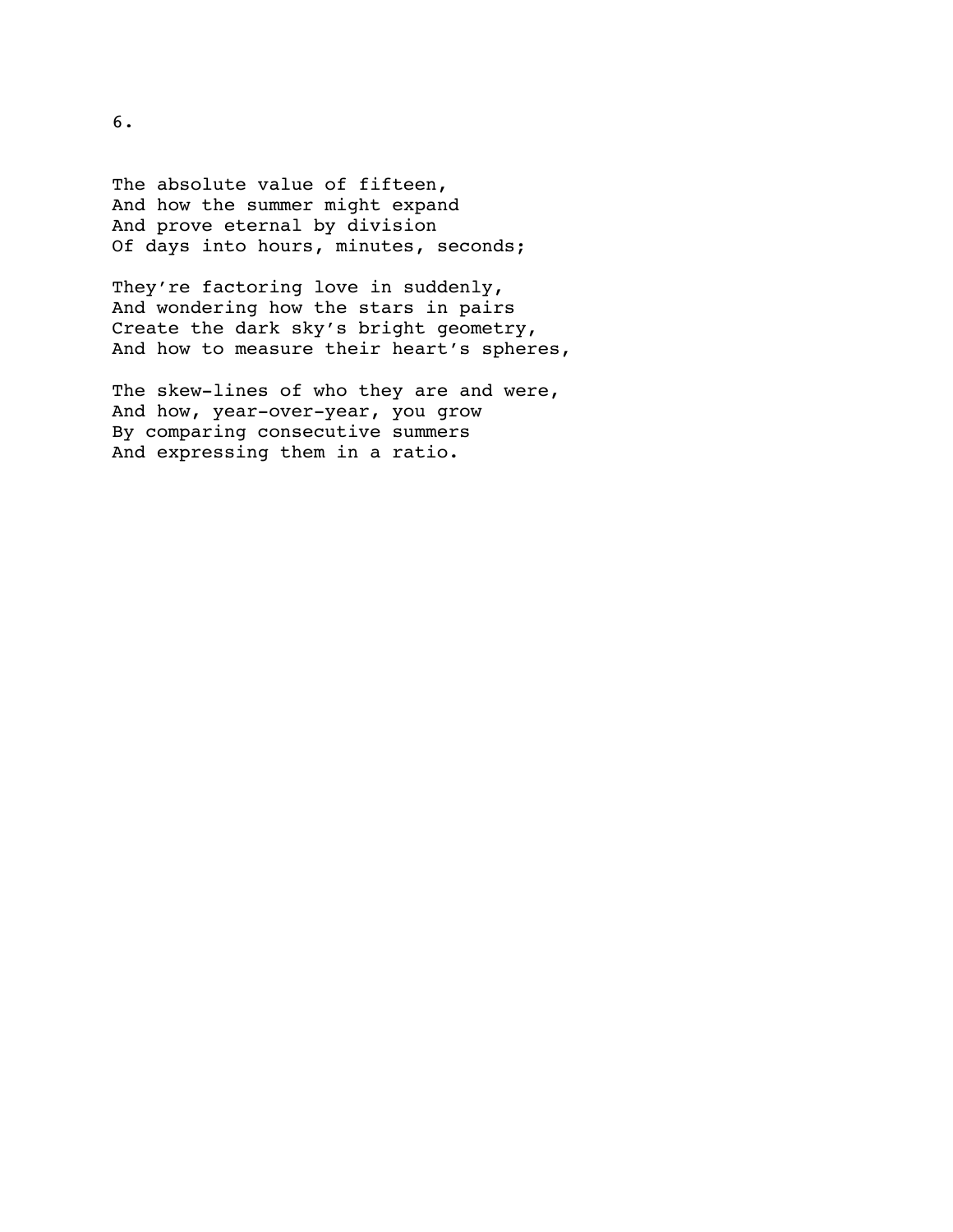The absolute value of fifteen, And how the summer might expand And prove eternal by division Of days into hours, minutes, seconds;

They're factoring love in suddenly, And wondering how the stars in pairs Create the dark sky's bright geometry, And how to measure their heart's spheres,

The skew-lines of who they are and were, And how, year-over-year, you grow By comparing consecutive summers And expressing them in a ratio.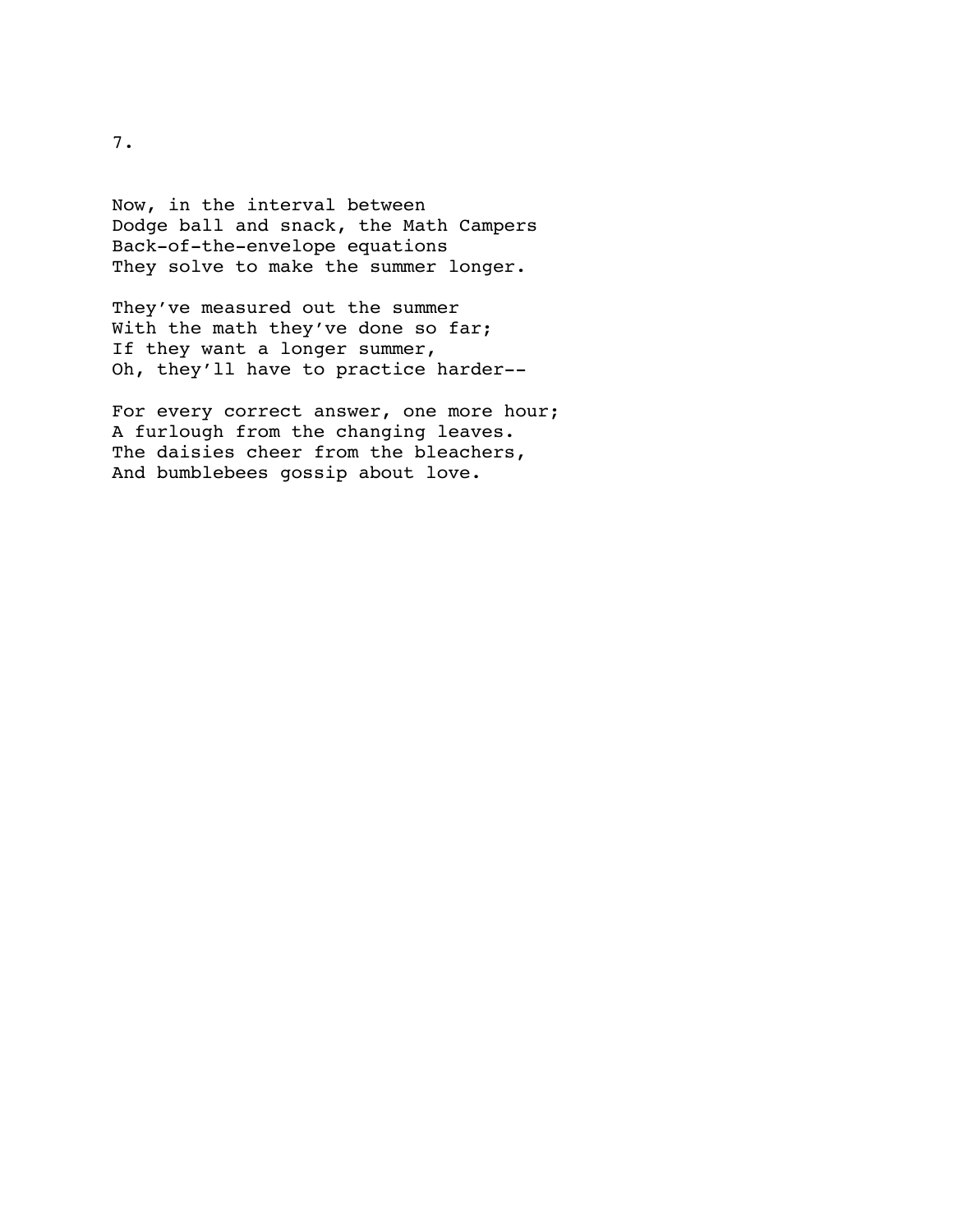Now, in the interval between Dodge ball and snack, the Math Campers Back-of-the-envelope equations They solve to make the summer longer.

They've measured out the summer With the math they've done so far; If they want a longer summer, Oh, they'll have to practice harder--

For every correct answer, one more hour; A furlough from the changing leaves. The daisies cheer from the bleachers, And bumblebees gossip about love.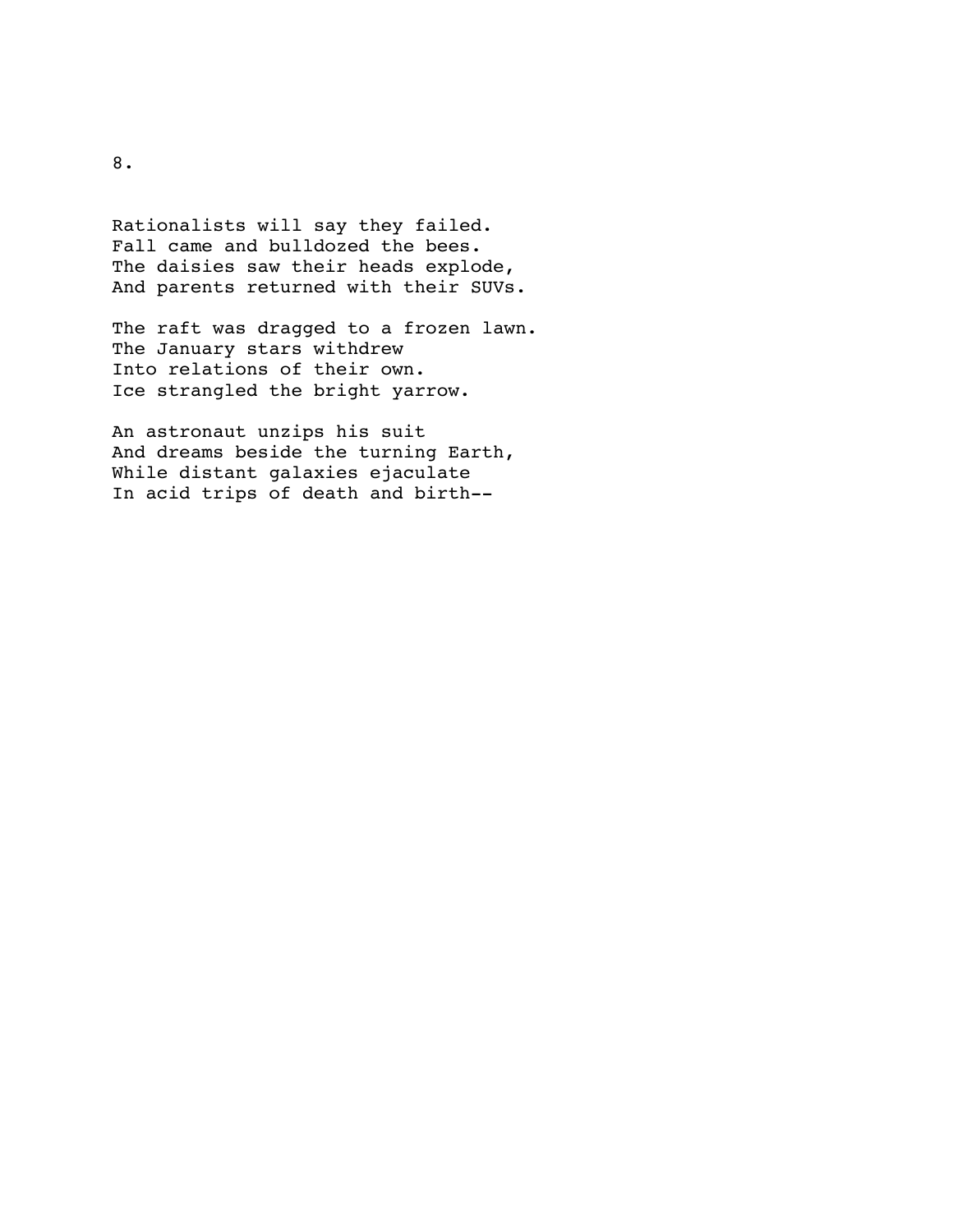Rationalists will say they failed. Fall came and bulldozed the bees. The daisies saw their heads explode, And parents returned with their SUVs.

The raft was dragged to a frozen lawn. The January stars withdrew Into relations of their own. Ice strangled the bright yarrow.

An astronaut unzips his suit And dreams beside the turning Earth, While distant galaxies ejaculate In acid trips of death and birth--